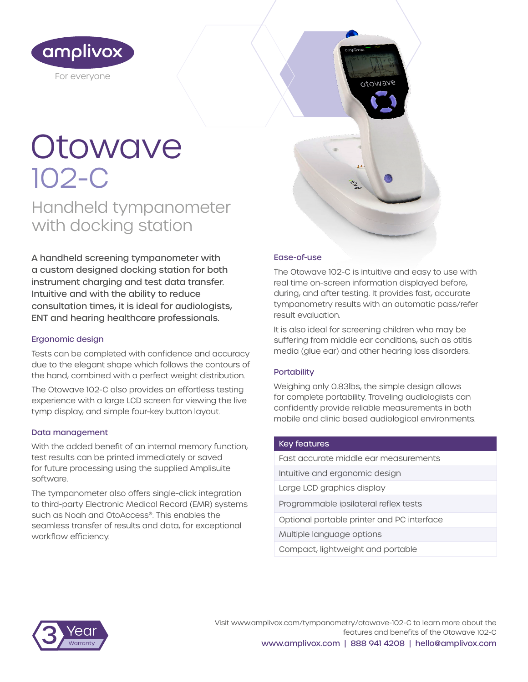

# **Otowave** 102-C

Handheld tympanometer with docking station

A handheld screening tympanometer with a custom designed docking station for both instrument charging and test data transfer. Intuitive and with the ability to reduce consultation times, it is ideal for audiologists, ENT and hearing healthcare professionals.

#### Ergonomic design

Tests can be completed with confidence and accuracy due to the elegant shape which follows the contours of the hand, combined with a perfect weight distribution.

The Otowave 102-C also provides an effortless testing experience with a large LCD screen for viewing the live tymp display, and simple four-key button layout.

#### Data management

With the added benefit of an internal memory function, test results can be printed immediately or saved for future processing using the supplied Amplisuite software.

The tympanometer also offers single-click integration to third-party Electronic Medical Record (EMR) systems such as Noah and OtoAccess®. This enables the seamless transfer of results and data, for exceptional workflow efficiency.

#### Ease-of-use

The Otowave 102-C is intuitive and easy to use with real time on-screen information displayed before, during, and after testing. It provides fast, accurate tympanometry results with an automatic pass/refer result evaluation.

otowave

It is also ideal for screening children who may be suffering from middle ear conditions, such as otitis media (glue ear) and other hearing loss disorders.

#### **Portability**

Weighing only 0.83lbs, the simple design allows for complete portability. Traveling audiologists can confidently provide reliable measurements in both mobile and clinic based audiological environments.

#### Key features

| East accurate middle ear measurements      |
|--------------------------------------------|
| Intuitive and ergonomic design             |
| Large LCD graphics display                 |
| Programmable ipsilateral reflex tests      |
| Optional portable printer and PC interface |
| Multiple language options                  |
| Compact, lightweight and portable          |



Visit www.amplivox.com/tympanometry/otowave-102-C to learn more about the features and benefits of the Otowave 102-C